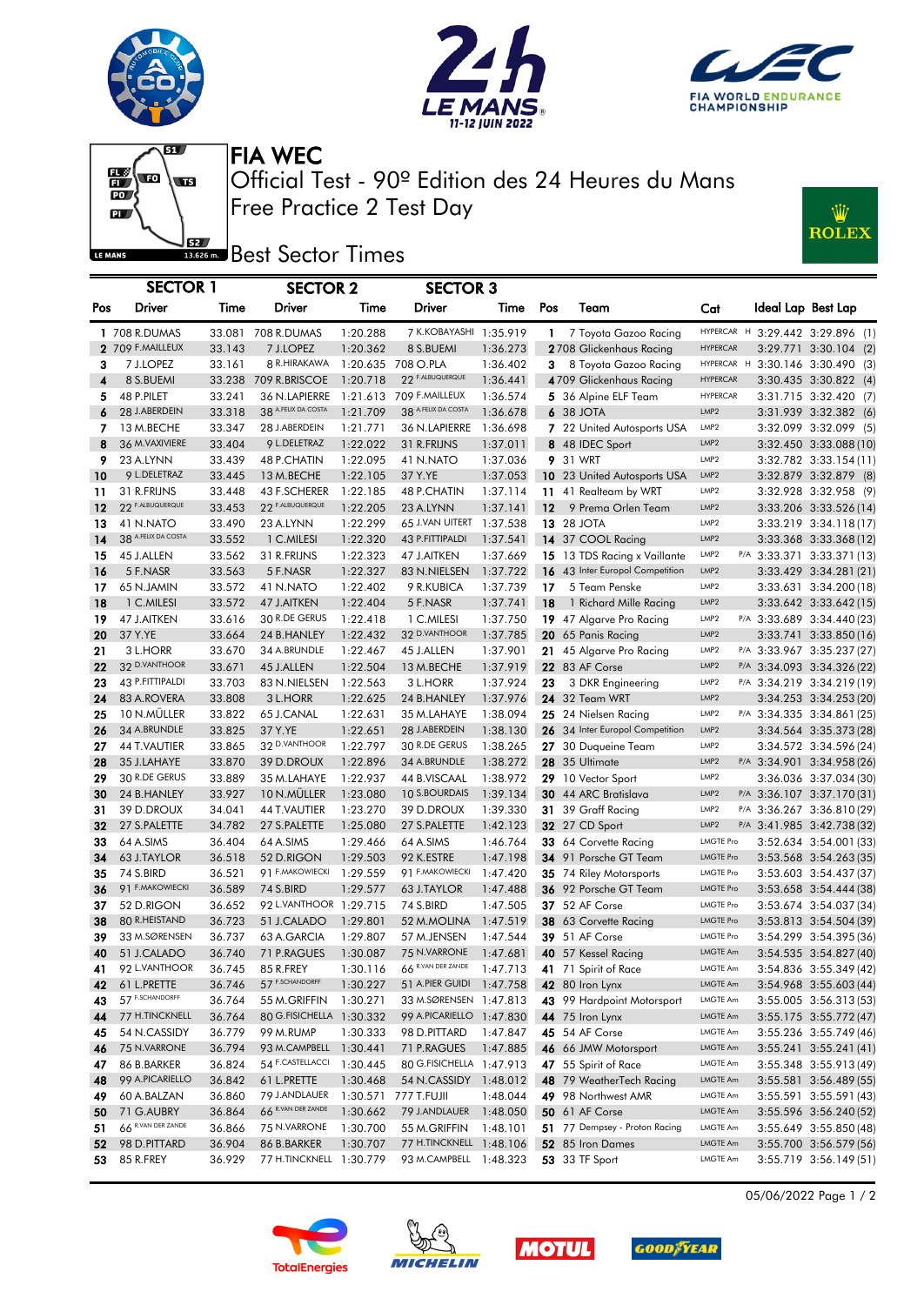





Ŵ

**ROLEX** 



Free Practice 2 Test Day Official Test - 90º Edition des 24 Heures du Mans FIA WEC

**Best** Sector Times

|                         | <b>SECTOR 1</b>     |        | <b>SECTOR 2</b>          |          | <b>SECTOR 3</b>          |          |                 |                                 |                  |  |                                  |
|-------------------------|---------------------|--------|--------------------------|----------|--------------------------|----------|-----------------|---------------------------------|------------------|--|----------------------------------|
| Pos                     | Driver              | Time   | Driver                   | Time     | Driver                   | Time     | Pos             | Team                            | Cat              |  | Ideal Lap Best Lap               |
|                         | 1 708 R.DUMAS       |        | 33.081 708 R.DUMAS       | 1:20.288 | 7 K.KOBAYASHI 1:35.919   |          | $\mathbf{1}$    | 7 Toyota Gazoo Racing           |                  |  | HYPERCAR H 3:29.442 3:29.896 (1) |
|                         | 2 709 F.MAILLEUX    | 33.143 | 7 J.LOPEZ                | 1:20.362 | 8 S.BUEMI                | 1:36.273 |                 | 2708 Glickenhaus Racing         | <b>HYPERCAR</b>  |  | 3:29.771 3:30.104 (2)            |
| 3                       | 7 J.LOPEZ           | 33.161 | 8 R.HIRAKAWA             |          | 1:20.635 708 O.PLA       | 1:36.402 | 3               | 8 Toyota Gazoo Racing           | HYPERCAR H       |  | 3:30.146 3:30.490 (3)            |
| $\overline{\mathbf{4}}$ | 8 S.BUEMI           | 33.238 | 709 R.BRISCOE            | 1:20.718 | 22 F.ALBUQUERQUE         | 1:36.441 |                 | 4709 Glickenhaus Racing         | <b>HYPERCAR</b>  |  | 3:30.435 3:30.822 (4)            |
| 5                       | 48 P.PILET          | 33.241 | 36 N.LAPIERRE            | 1:21.613 | 709 F.MAILLEUX           | 1:36.574 |                 | 5 36 Alpine ELF Team            | <b>HYPERCAR</b>  |  | 3:31.715 3:32.420 (7)            |
| 6                       | 28 J.ABERDEIN       | 33.318 | 38 A.FELIX DA COSTA      | 1:21.709 | 38 A.FELIX DA COSTA      | 1:36.678 |                 | 6 38 JOTA                       | LMP2             |  | 3:31.939 3:32.382 (6)            |
| 7                       | 13 M.BECHE          | 33.347 | 28 J.ABERDEIN            | 1:21.771 | 36 N.LAPIERRE            | 1:36.698 |                 | 7 22 United Autosports USA      | LMP <sub>2</sub> |  | 3:32.099 3:32.099 (5)            |
| 8                       | 36 M. VAXIVIERE     | 33.404 | 9 L.DELETRAZ             | 1:22.022 | 31 R.FRIJNS              | 1:37.011 |                 | 8 48 IDEC Sport                 | LMP <sub>2</sub> |  | 3:32.450 3:33.088 (10)           |
| 9                       | 23 A.LYNN           | 33.439 | <b>48 P.CHATIN</b>       | 1:22.095 | 41 N.NATO                | 1:37.036 |                 | <b>9</b> 31 WRT                 | LMP <sub>2</sub> |  | 3:32.782 3:33.154 (11)           |
| 10                      | 9 L.DELETRAZ        | 33.445 | 13 M.BECHE               | 1:22.105 | 37 Y.YE                  | 1:37.053 |                 | 10 23 United Autosports USA     | LMP2             |  | 3:32.879 3:32.879 (8)            |
| 11                      | 31 R.FRIJNS         | 33.448 | 43 F.SCHERER             | 1:22.185 | 48 P.CHATIN              | 1:37.114 |                 | 11 41 Realteam by WRT           | LMP2             |  | 3:32.928 3:32.958 (9)            |
| 12                      | 22 F.ALBUQUERQUE    | 33.453 | 22 F.ALBUQUERQUE         | 1:22.205 | 23 A.LYNN                | 1:37.141 | 12 <sub>2</sub> | 9 Prema Orlen Team              | LMP <sub>2</sub> |  | 3:33.206 3:33.526 (14)           |
| 13                      | 41 N.NATO           | 33.490 | 23 A.LYNN                | 1:22.299 | 65 J.VAN UITERT 1:37.538 |          |                 | <b>13 28 JOTA</b>               | LMP <sub>2</sub> |  | 3:33.219 3:34.118 (17)           |
| 14                      | 38 A.FELIX DA COSTA | 33.552 | 1 C.MILESI               | 1:22.320 | 43 P.FITTIPALDI          | 1:37.541 |                 | 14 37 COOL Racing               | LMP <sub>2</sub> |  | 3:33.368 3:33.368 (12)           |
| 15                      | 45 J.ALLEN          | 33.562 | 31 R.FRIJNS              | 1:22.323 | 47 J.AITKEN              | 1:37.669 |                 | 15 13 TDS Racing x Vaillante    | LMP2             |  | P/A 3:33.371 3:33.371 (13)       |
| 16                      | 5 F.NASR            | 33.563 | 5 F.NASR                 | 1:22.327 | 83 N.NIELSEN             | 1:37.722 |                 | 16 43 Inter Europol Competition | LMP2             |  | 3:33.429 3:34.281 (21)           |
| 17                      | 65 N.JAMIN          | 33.572 | 41 N.NATO                | 1:22.402 | 9 R.KUBICA               | 1:37.739 | 17              | 5 Team Penske                   | LMP2             |  | 3:33.631 3:34.200 (18)           |
| 18                      | 1 C.MILESI          | 33.572 | 47 J.AITKEN              | 1:22.404 | 5 F.NASR                 | 1:37.741 | 18              | 1 Richard Mille Racing          | LMP <sub>2</sub> |  | 3:33.642 3:33.642 (15)           |
| 19                      | 47 J.AITKEN         | 33.616 | 30 R.DE GERUS            | 1:22.418 | 1 C.MILESI               | 1:37.750 |                 | 19 47 Algarve Pro Racing        | LMP <sub>2</sub> |  | P/A 3:33.689 3:34.440 (23)       |
| 20                      | 37 Y.YE             | 33.664 | 24 B.HANLEY              | 1:22.432 | 32 D.VANTHOOR            | 1:37.785 |                 | 20 65 Panis Racing              | LMP <sub>2</sub> |  | 3:33.741 3:33.850 (16)           |
| 21                      | 3 L.HORR            | 33.670 | 34 A.BRUNDLE             | 1:22.467 | 45 J.ALLEN               | 1:37.901 |                 | 21 45 Algarve Pro Racing        | LMP2             |  | P/A 3:33.967 3:35.237 (27)       |
| 22                      | 32 D.VANTHOOR       | 33.671 | 45 J.ALLEN               | 1:22.504 | 13 M.BECHE               | 1:37.919 |                 | 22 83 AF Corse                  | LMP2             |  | P/A 3:34.093 3:34.326 (22)       |
| 23                      | 43 P.FITTIPALDI     | 33.703 | 83 N.NIELSEN             | 1:22.563 | 3 L.HORR                 | 1:37.924 | 23              | 3 DKR Engineering               | LMP <sub>2</sub> |  | P/A 3:34.219 3:34.219 (19)       |
| 24                      | 83 A.ROVERA         | 33.808 | 3 L.HORR                 | 1:22.625 | 24 B.HANLEY              | 1:37.976 |                 | <b>24</b> 32 Team WRT           | LMP <sub>2</sub> |  | 3:34.253 3:34.253 (20)           |
| 25                      | 10 N.MÜLLER         | 33.822 | 65 J.CANAL               | 1:22.631 | 35 M.LAHAYE              | 1:38.094 |                 | 25 24 Nielsen Racing            | LMP <sub>2</sub> |  | P/A 3:34.335 3:34.861 (25)       |
| 26                      | 34 A.BRUNDLE        | 33.825 | 37 Y.YE                  | 1:22.651 | 28 J.ABERDEIN            | 1:38.130 |                 | 26 34 Inter Europol Competition | LMP <sub>2</sub> |  | 3:34.564 3:35.373 (28)           |
| 27                      | 44 T.VAUTIER        | 33.865 | 32 D.VANTHOOR            | 1:22.797 | 30 R.DE GERUS            | 1:38.265 |                 | 27 30 Duqueine Team             | LMP <sub>2</sub> |  | 3:34.572 3:34.596 (24)           |
| 28                      | 35 J.LAHAYE         | 33.870 | 39 D.DROUX               | 1:22.896 | 34 A.BRUNDLE             | 1:38.272 |                 | 28 35 Ultimate                  | LMP <sub>2</sub> |  | P/A 3:34.901 3:34.958 (26)       |
| 29                      | 30 R.DE GERUS       | 33.889 | 35 M.LAHAYE              | 1:22.937 | 44 B.VISCAAL             | 1:38.972 |                 | 29 10 Vector Sport              | LMP <sub>2</sub> |  | 3:36.036 3:37.034 (30)           |
| 30                      | 24 B.HANLEY         | 33.927 | 10 N.MÜLLER              | 1:23.080 | 10 S.BOURDAIS            | 1:39.134 |                 | 30 44 ARC Bratislava            | LMP2             |  | P/A 3:36.107 3:37.170(31)        |
| 31                      | 39 D.DROUX          | 34.041 | 44 T.VAUTIER             | 1:23.270 | 39 D.DROUX               | 1:39.330 |                 | 31 39 Graff Racing              | LMP <sub>2</sub> |  | P/A 3:36.267 3:36.810 (29)       |
| 32                      | 27 S.PALETTE        | 34.782 | 27 S.PALETTE             | 1:25.080 | 27 S.PALETTE             | 1:42.123 |                 | <b>32</b> 27 CD Sport           | LMP <sub>2</sub> |  | P/A 3:41.985 3:42.738 (32)       |
| 33                      | 64 A.SIMS           | 36.404 | 64 A.SIMS                | 1:29.466 | 64 A.SIMS                | 1:46.764 |                 | 33 64 Corvette Racing           | <b>LMGTE Pro</b> |  | 3:52.634 3:54.001 (33)           |
| 34                      | 63 J.TAYLOR         | 36.518 | 52 D.RIGON               | 1:29.503 | 92 K.ESTRE               | 1:47.198 |                 | 34 91 Porsche GT Team           | <b>LMGTE Pro</b> |  | 3:53.568 3:54.263 (35)           |
| 35                      | 74 S.BIRD           | 36.521 | 91 F.MAKOWIECKI          | 1:29.559 | 91 F.MAKOWIECKI          | 1:47.420 |                 | <b>35</b> 74 Riley Motorsports  | <b>LMGTE Pro</b> |  | 3:53.603 3:54.437 (37)           |
| 36                      | 91 F.MAKOWIECKI     | 36.589 | 74 S.BIRD                | 1:29.577 | 63 J.TAYLOR              | 1:47.488 |                 | 36 92 Porsche GT Team           | <b>LMGTE Pro</b> |  | 3:53.658 3:54.444 (38)           |
| 37                      | 52 D.RIGON          | 36.652 | 92 L.VANTHOOR 1:29.715   |          | 74 S.BIRD                | 1:47.505 |                 | 37 52 AF Corse                  | <b>LMGTE Pro</b> |  | 3:53.674 3:54.037 (34)           |
| 38                      | 80 R.HEISTAND       | 36.723 | 51 J.CALADO              | 1:29.801 | 52 M.MOLINA 1:47.519     |          |                 | 38 63 Corvette Racing           | <b>LMGTE Pro</b> |  | 3:53.813 3:54.504 (39)           |
| 39                      | 33 M.SØRENSEN       | 36.737 | 63 A.GARCIA              | 1:29.807 | 57 M.JENSEN              | 1:47.544 |                 | 39 51 AF Corse                  | <b>LMGTE Pro</b> |  | 3:54.299 3:54.395 (36)           |
| 40                      | 51 J.CALADO         | 36.740 | 71 P.RAGUES              | 1:30.087 | 75 N.VARRONE             | 1:47.681 |                 | 40 57 Kessel Racing             | LMGTE Am         |  | 3:54.535 3:54.827 (40)           |
| 41                      | 92 L.VANTHOOR       | 36.745 | 85 R.FREY                | 1:30.116 | 66 R.VAN DER ZANDE       | 1:47.713 |                 | 41 71 Spirit of Race            | LMGTE Am         |  | 3:54.836 3:55.349 (42)           |
| 42                      | 61 L.PRETTE         | 36.746 | 57 F.SCHANDORFF          | 1:30.227 | 51 A.PIER GUIDI          | 1:47.758 |                 | 42 80 Iron Lynx                 | LMGTE Am         |  | 3:54.968 3:55.603 (44)           |
| 43                      | 57 F.SCHANDORFF     | 36.764 | 55 M.GRIFFIN             | 1:30.271 | 33 M.SØRENSEN 1:47.813   |          |                 | 43 99 Hardpoint Motorsport      | LMGTE Am         |  | 3:55.005 3:56.313 (53)           |
| 44                      | 77 H.TINCKNELL      | 36.764 | 80 G.FISICHELLA 1:30.332 |          | 99 A.PICARIELLO 1:47.830 |          |                 | <b>44</b> 75 Iron Lynx          | LMGTE Am         |  | 3:55.175 3:55.772 (47)           |
| 45                      | 54 N.CASSIDY        | 36.779 | 99 M.RUMP                | 1:30.333 | 98 D.PITTARD             | 1:47.847 |                 | <b>45</b> 54 AF Corse           | LMGTE Am         |  | 3:55.236 3:55.749 (46)           |
| 46                      | 75 N.VARRONE        | 36.794 | 93 M.CAMPBELL            | 1:30.441 | 71 P.RAGUES              | 1:47.885 |                 | 46 66 JMW Motorsport            | LMGTE Am         |  | 3:55.241 3:55.241 (41)           |
| 47                      | 86 B.BARKER         | 36.824 | 54 F.CASTELLACCI         | 1:30.445 | 80 G.FISICHELLA 1:47.913 |          |                 | 47 55 Spirit of Race            | LMGTE Am         |  | 3:55.348 3:55.913 (49)           |
| 48                      | 99 A.PICARIELLO     | 36.842 | 61 L.PRETTE              | 1:30.468 | 54 N.CASSIDY 1:48.012    |          |                 | 48 79 WeatherTech Racing        | LMGTE Am         |  | 3:55.581 3:56.489 (55)           |
| 49                      | 60 A.BALZAN         | 36.860 | 79 J.ANDLAUER            |          | 1:30.571 777 T.FUJII     | 1:48.044 |                 | 49 98 Northwest AMR             | LMGTE Am         |  | 3:55.591 3:55.591 (43)           |
| 50                      | 71 G.AUBRY          | 36.864 | 66 R.VAN DER ZANDE       | 1:30.662 | 79 J.ANDLAUER            | 1:48.050 |                 | 50 61 AF Corse                  | LMGTE Am         |  | 3:55.596 3:56.240 (52)           |
| 51                      | 66 R.VAN DER ZANDE  | 36.866 | 75 N.VARRONE             | 1:30.700 | 55 M.GRIFFIN             | 1:48.101 |                 | 51 77 Dempsey - Proton Racing   | <b>LMGTE Am</b>  |  | 3:55.649 3:55.850 (48)           |
| 52                      | 98 D.PITTARD        | 36.904 | 86 B.BARKER              | 1:30.707 | 77 H.TINCKNELL 1:48.106  |          |                 | 52 85 Iron Dames                | LMGTE Am         |  | 3:55.700 3:56.579 (56)           |
| 53                      | 85 R.FREY           | 36.929 | 77 H.TINCKNELL 1:30.779  |          | 93 M.CAMPBELL 1:48.323   |          |                 | 53 33 TF Sport                  | LMGTE Am         |  | 3:55.719 3:56.149 (51)           |









05/06/2022 Page 1 / 2